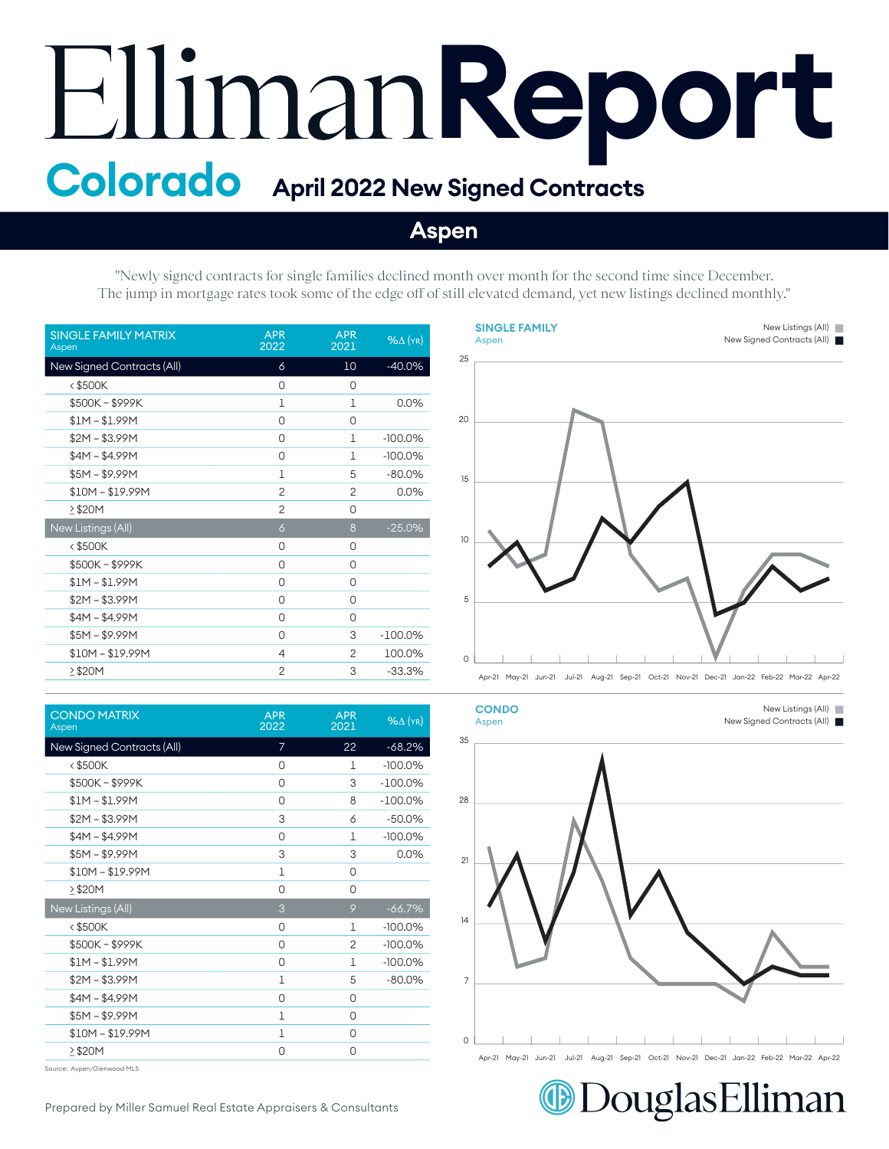## **Report Colorado April 2022 New Signed Contracts**

## **Aspen**

"Newly signed contracts for single families declined month over month for the second time since December. The jump in mortgage rates took some of the edge off of still elevated demand, yet new listings declined monthly."

| <b>SINGLE FAMILY MATRIX</b><br>Aspen | <b>APR</b><br>2022 | <b>APR</b><br>2021 | $%$ $\Delta$ (YR) |
|--------------------------------------|--------------------|--------------------|-------------------|
| New Signed Contracts (All)           | 6                  | 10                 | $-40.0%$          |
| $<$ \$500K                           | 0                  | 0                  |                   |
| \$500K-\$999K                        | 1                  | 1                  | 0.0%              |
| $$1M - $1.99M$                       | 0                  | 0                  |                   |
| $$2M - $3.99M$                       | 0                  | 1                  | $-100.0%$         |
| $$4M - $4.99M$                       | 0                  | 1                  | $-100.0%$         |
| $$5M - $9.99M$                       | 1                  | 5                  | $-80.0%$          |
| $$10M - $19.99M$                     | $\overline{2}$     | $\overline{c}$     | 0.0%              |
| >\$20M                               | $\overline{2}$     | 0                  |                   |
| New Listings (All)                   | $\overline{6}$     | 8                  | $-25.0%$          |
| $<$ \$500K                           | 0                  | 0                  |                   |
| \$500K-\$999K                        | 0                  | 0                  |                   |
| $$1M - $1.99M$                       | 0                  | 0                  |                   |
| $$2M - $3.99M$                       | 0                  | 0                  |                   |
| $$4M - $4.99M$                       | 0                  | 0                  |                   |
| $$5M - $9.99M$                       | 0                  | 3                  | $-100.0\%$        |
| $$10M - $19.99M$                     | 4                  | $\overline{2}$     | 100.0%            |
| ≥\$20M                               | $\overline{2}$     | 3                  | $-33.3%$          |

| <b>CONDO MATRIX</b><br>Aspen | <b>APR</b><br>2022 | <b>APR</b><br>2021 | $%$ $\Delta$ (YR) |
|------------------------------|--------------------|--------------------|-------------------|
| New Signed Contracts (All)   | 7                  | 22                 | $-68.2%$          |
| <\$500K                      | 0                  | 1                  | $-100.0%$         |
| \$500K-\$999K                | 0                  | 3                  | $-100.0\%$        |
| $$1M - $1.99M$               | 0                  | 8                  | $-100.0\%$        |
| $$2M - $3.99M$               | 3                  | 6                  | $-50.0%$          |
| $$4M - $4.99M$               | 0                  | 1                  | $-100.0%$         |
| $$5M - $9.99M$               | 3                  | 3                  | 0.0%              |
| $$10M - $19.99M$             | 1                  | 0                  |                   |
| $\geq$ \$20M                 | 0                  | 0                  |                   |
| New Listings (All)           | 3                  | 9                  | $-66.7%$          |
| <\$500K                      | 0                  | 1                  | $-100.0%$         |
| \$500K-\$999K                | 0                  | $\overline{2}$     | $-100.0%$         |
| $$1M - $1.99M$               | 0                  | 1                  | $-100.0%$         |
| $$2M - $3.99M$               | $\mathbf 1$        | 5                  | $-80.0%$          |
| $$4M - $4.99M$               | 0                  | 0                  |                   |
| $$5M - $9.99M$               | 1                  | 0                  |                   |
| $$10M - $19.99M$             | 1                  | 0                  |                   |
| $\geq$ \$20M                 | 0                  | 0                  |                   |
|                              |                    |                    |                   |

Source: Aspen/Glenwood MLS





DouglasElliman